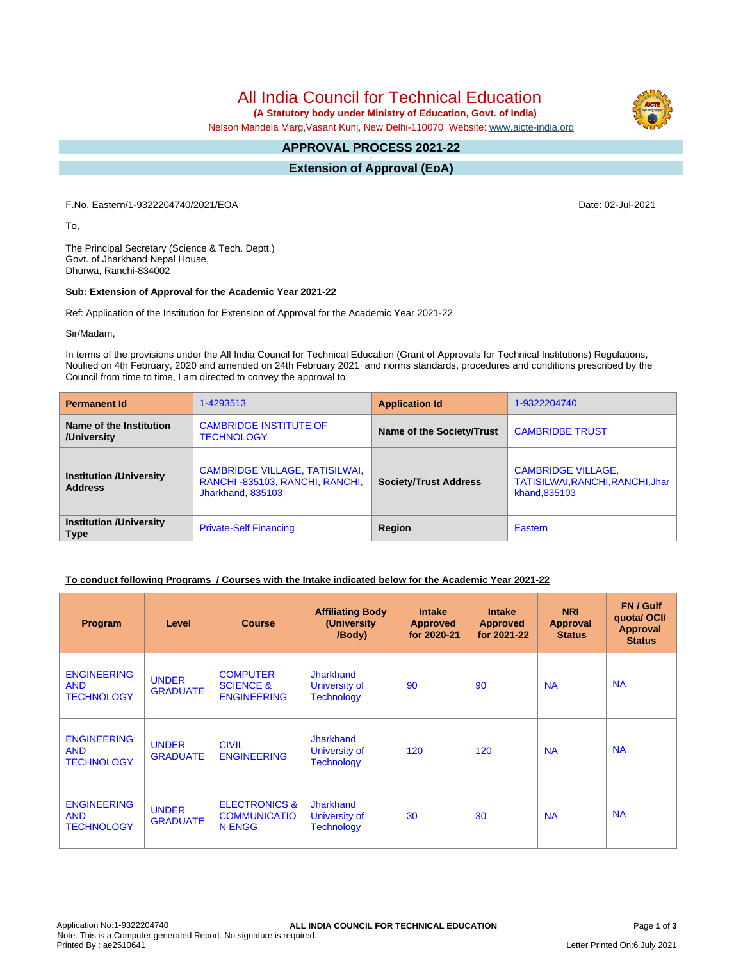# All India Council for Technical Education

 **(A Statutory body under Ministry of Education, Govt. of India)**

Nelson Mandela Marg,Vasant Kunj, New Delhi-110070 Website: [www.aicte-india.org](http://www.aicte-india.org)

#### **APPROVAL PROCESS 2021-22 -**

**Extension of Approval (EoA)**

F.No. Eastern/1-9322204740/2021/EOA Date: 02-Jul-2021

To,

The Principal Secretary (Science & Tech. Deptt.) Govt. of Jharkhand Nepal House, Dhurwa, Ranchi-834002

#### **Sub: Extension of Approval for the Academic Year 2021-22**

Ref: Application of the Institution for Extension of Approval for the Academic Year 2021-22

Sir/Madam,

In terms of the provisions under the All India Council for Technical Education (Grant of Approvals for Technical Institutions) Regulations, Notified on 4th February, 2020 and amended on 24th February 2021 and norms standards, procedures and conditions prescribed by the Council from time to time, I am directed to convey the approval to:

| <b>Permanent Id</b>                              | 1-4293513                                                                                    | <b>Application Id</b>        | 1-9322204740                                                                   |  |
|--------------------------------------------------|----------------------------------------------------------------------------------------------|------------------------------|--------------------------------------------------------------------------------|--|
| Name of the Institution<br>/University           | <b>CAMBRIDGE INSTITUTE OF</b><br><b>TECHNOLOGY</b>                                           | Name of the Society/Trust    | <b>CAMBRIDBE TRUST</b>                                                         |  |
| <b>Institution /University</b><br><b>Address</b> | <b>CAMBRIDGE VILLAGE, TATISILWAI,</b><br>RANCHI-835103, RANCHI, RANCHI,<br>Jharkhand, 835103 | <b>Society/Trust Address</b> | <b>CAMBRIDGE VILLAGE,</b><br>TATISILWAI, RANCHI, RANCHI, Jhar<br>khand, 835103 |  |
| <b>Institution /University</b><br><b>Type</b>    | <b>Private-Self Financing</b>                                                                | Region                       | Eastern                                                                        |  |

### **To conduct following Programs / Courses with the Intake indicated below for the Academic Year 2021-22**

| Program                                               | Level                           | <b>Course</b>                                                 | <b>Affiliating Body</b><br>(University<br>/Body)       | <b>Intake</b><br><b>Approved</b><br>for 2020-21 | <b>Intake</b><br><b>Approved</b><br>for 2021-22 | <b>NRI</b><br>Approval<br><b>Status</b> | FN / Gulf<br>quotal OCI/<br><b>Approval</b><br><b>Status</b> |
|-------------------------------------------------------|---------------------------------|---------------------------------------------------------------|--------------------------------------------------------|-------------------------------------------------|-------------------------------------------------|-----------------------------------------|--------------------------------------------------------------|
| <b>ENGINEERING</b><br><b>AND</b><br><b>TECHNOLOGY</b> | <b>UNDER</b><br><b>GRADUATE</b> | <b>COMPUTER</b><br><b>SCIENCE &amp;</b><br><b>ENGINEERING</b> | <b>Jharkhand</b><br>University of<br><b>Technology</b> | 90                                              | 90                                              | <b>NA</b>                               | <b>NA</b>                                                    |
| <b>ENGINEERING</b><br><b>AND</b><br><b>TECHNOLOGY</b> | <b>UNDER</b><br><b>GRADUATE</b> | <b>CIVIL</b><br><b>ENGINEERING</b>                            | <b>Jharkhand</b><br>University of<br><b>Technology</b> | 120                                             | 120                                             | <b>NA</b>                               | <b>NA</b>                                                    |
| <b>ENGINEERING</b><br><b>AND</b><br><b>TECHNOLOGY</b> | <b>UNDER</b><br><b>GRADUATE</b> | <b>ELECTRONICS &amp;</b><br><b>COMMUNICATIO</b><br>N ENGG     | <b>Jharkhand</b><br>University of<br><b>Technology</b> | 30                                              | 30                                              | <b>NA</b>                               | <b>NA</b>                                                    |

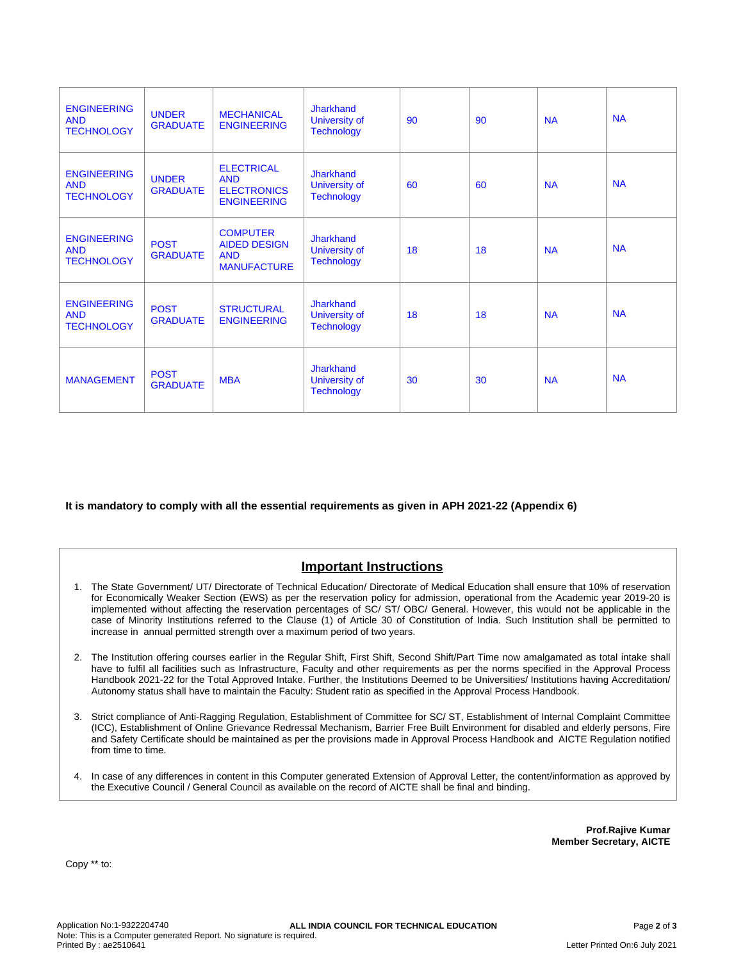| <b>ENGINEERING</b><br><b>AND</b><br><b>TECHNOLOGY</b> | <b>UNDER</b><br><b>GRADUATE</b> | <b>MECHANICAL</b><br><b>ENGINEERING</b>                                     | <b>Jharkhand</b><br>University of<br><b>Technology</b> | 90 | 90 | <b>NA</b> | <b>NA</b> |
|-------------------------------------------------------|---------------------------------|-----------------------------------------------------------------------------|--------------------------------------------------------|----|----|-----------|-----------|
| <b>ENGINEERING</b><br><b>AND</b><br><b>TECHNOLOGY</b> | <b>UNDER</b><br><b>GRADUATE</b> | <b>ELECTRICAL</b><br><b>AND</b><br><b>ELECTRONICS</b><br><b>ENGINEERING</b> | <b>Jharkhand</b><br>University of<br><b>Technology</b> | 60 | 60 | <b>NA</b> | <b>NA</b> |
| <b>ENGINEERING</b><br><b>AND</b><br><b>TECHNOLOGY</b> | <b>POST</b><br><b>GRADUATE</b>  | <b>COMPUTER</b><br><b>AIDED DESIGN</b><br><b>AND</b><br><b>MANUFACTURE</b>  | Jharkhand<br>University of<br><b>Technology</b>        | 18 | 18 | <b>NA</b> | <b>NA</b> |
| <b>ENGINEERING</b><br><b>AND</b><br><b>TECHNOLOGY</b> | <b>POST</b><br><b>GRADUATE</b>  | <b>STRUCTURAL</b><br><b>ENGINEERING</b>                                     | <b>Jharkhand</b><br>University of<br><b>Technology</b> | 18 | 18 | <b>NA</b> | <b>NA</b> |
| <b>MANAGEMENT</b>                                     | <b>POST</b><br><b>GRADUATE</b>  | <b>MBA</b>                                                                  | <b>Jharkhand</b><br>University of<br><b>Technology</b> | 30 | 30 | <b>NA</b> | <b>NA</b> |

**It is mandatory to comply with all the essential requirements as given in APH 2021-22 (Appendix 6)**

## **Important Instructions**

- 1. The State Government/ UT/ Directorate of Technical Education/ Directorate of Medical Education shall ensure that 10% of reservation for Economically Weaker Section (EWS) as per the reservation policy for admission, operational from the Academic year 2019-20 is implemented without affecting the reservation percentages of SC/ ST/ OBC/ General. However, this would not be applicable in the case of Minority Institutions referred to the Clause (1) of Article 30 of Constitution of India. Such Institution shall be permitted to increase in annual permitted strength over a maximum period of two years.
- 2. The Institution offering courses earlier in the Regular Shift, First Shift, Second Shift/Part Time now amalgamated as total intake shall have to fulfil all facilities such as Infrastructure, Faculty and other requirements as per the norms specified in the Approval Process Handbook 2021-22 for the Total Approved Intake. Further, the Institutions Deemed to be Universities/ Institutions having Accreditation/ Autonomy status shall have to maintain the Faculty: Student ratio as specified in the Approval Process Handbook.
- 3. Strict compliance of Anti-Ragging Regulation, Establishment of Committee for SC/ ST, Establishment of Internal Complaint Committee (ICC), Establishment of Online Grievance Redressal Mechanism, Barrier Free Built Environment for disabled and elderly persons, Fire and Safety Certificate should be maintained as per the provisions made in Approval Process Handbook and AICTE Regulation notified from time to time.
- 4. In case of any differences in content in this Computer generated Extension of Approval Letter, the content/information as approved by the Executive Council / General Council as available on the record of AICTE shall be final and binding.

**Prof.Rajive Kumar Member Secretary, AICTE**

Copy \*\* to: